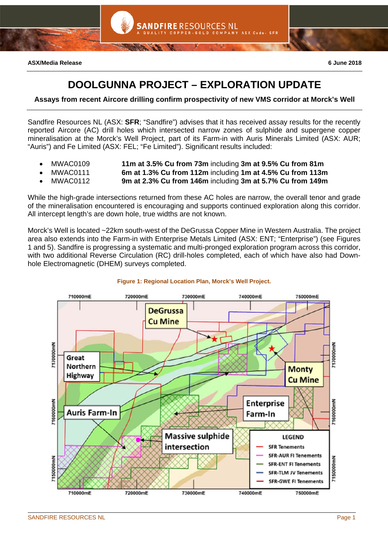

# **DOOLGUNNA PROJECT – EXPLORATION UPDATE**

**ANDFIRE RESOURCES NL** 

- GOLD COMPANY

**Assays from recent Aircore drilling confirm prospectivity of new VMS corridor at Morck's Well** 

Sandfire Resources NL (ASX: **SFR**; "Sandfire") advises that it has received assay results for the recently reported Aircore (AC) drill holes which intersected narrow zones of sulphide and supergene copper mineralisation at the Morck's Well Project, part of its Farm-in with Auris Minerals Limited (ASX: AUR; "Auris") and Fe Limited (ASX: FEL; "Fe Limited"). Significant results included:

- MWAC0109 **11m at 3.5% Cu from 73m** including **3m at 9.5% Cu from 81m**
- MWAC0111 **6m at 1.3% Cu from 112m** including **1m at 4.5% Cu from 113m**
	- MWAC0112 **9m at 2.3% Cu from 146m** including **3m at 5.7% Cu from 149m**

While the high-grade intersections returned from these AC holes are narrow, the overall tenor and grade of the mineralisation encountered is encouraging and supports continued exploration along this corridor. All intercept length's are down hole, true widths are not known.

Morck's Well is located ~22km south-west of the DeGrussa Copper Mine in Western Australia. The project area also extends into the Farm-in with Enterprise Metals Limited (ASX: ENT; "Enterprise") (see Figures 1 and 5). Sandfire is progressing a systematic and multi-pronged exploration program across this corridor, with two additional Reverse Circulation (RC) drill-holes completed, each of which have also had Downhole Electromagnetic (DHEM) surveys completed.



## **Figure 1: Regional Location Plan, Morck's Well Project.**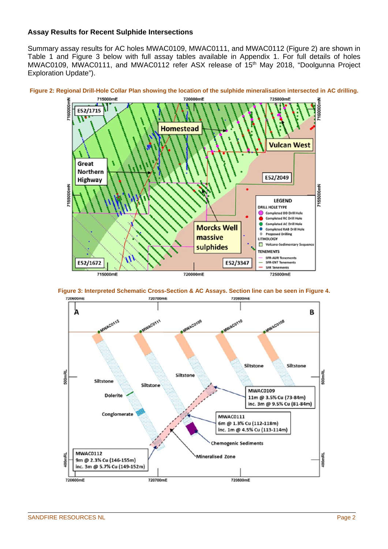## **Assay Results for Recent Sulphide Intersections**

Summary assay results for AC holes MWAC0109, MWAC0111, and MWAC0112 (Figure 2) are shown in Table 1 and Figure 3 below with full assay tables available in Appendix 1. For full details of holes MWAC0109, MWAC0111, and MWAC0112 refer ASX release of 15<sup>th</sup> May 2018, "Doolgunna Project Exploration Update").







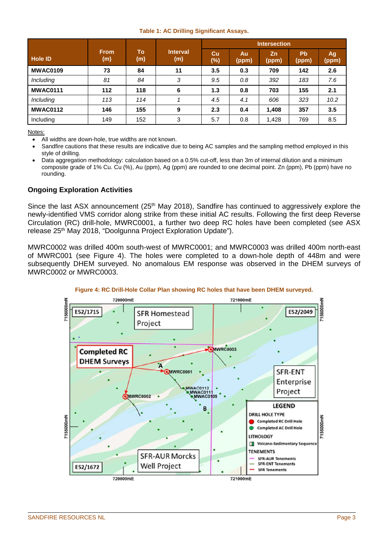### **Table 1: AC Drilling Significant Assays.**

|                  |                    |           |                 | <b>Intersection</b> |             |             |                    |              |  |
|------------------|--------------------|-----------|-----------------|---------------------|-------------|-------------|--------------------|--------------|--|
| <b>Hole ID</b>   | <b>From</b><br>(m) | To<br>(m) | Interval<br>(m) | cu<br>$(\%)$        | Au<br>(ppm) | Zn<br>(ppm) | <b>Pb</b><br>(ppm) | Ag,<br>(ppm) |  |
| <b>MWAC0109</b>  | 73                 | 84        | 11              | 3.5                 | 0.3         | 709         | 142                | 2.6          |  |
| <i>Including</i> | 81                 | 84        | 3               | 9.5                 | 0.8         | 392         | 183                | 7.6          |  |
| <b>MWAC0111</b>  | 112                | 118       | 6               | 1.3                 | 0.8         | 703         | 155                | 2.1          |  |
| Including        | 113                | 114       |                 | 4.5                 | 4.1         | 606         | 323                | 10.2         |  |
| <b>MWAC0112</b>  | 146                | 155       | 9               | 2.3                 | 0.4         | 1,408       | 357                | 3.5          |  |
| Including        | 149                | 152       | 3               | 5.7                 | 0.8         | 1,428       | 769                | 8.5          |  |

Notes:

- All widths are down-hole, true widths are not known.
- Sandfire cautions that these results are indicative due to being AC samples and the sampling method employed in this style of drilling.
- Data aggregation methodology: calculation based on a 0.5% cut-off, less than 3m of internal dilution and a minimum composite grade of 1% Cu. Cu (%), Au (ppm), Ag (ppm) are rounded to one decimal point. Zn (ppm), Pb (ppm) have no rounding.

## **Ongoing Exploration Activities**

Since the last ASX announcement (25<sup>th</sup> May 2018), Sandfire has continued to aggressively explore the newly-identified VMS corridor along strike from these initial AC results. Following the first deep Reverse Circulation (RC) drill-hole, MWRC0001, a further two deep RC holes have been completed (see ASX release 25<sup>th</sup> May 2018, "Doolgunna Project Exploration Update").

MWRC0002 was drilled 400m south-west of MWRC0001; and MWRC0003 was drilled 400m north-east of MWRC001 (see Figure 4). The holes were completed to a down-hole depth of 448m and were subsequently DHEM surveyed. No anomalous EM response was observed in the DHEM surveys of MWRC0002 or MWRC0003.

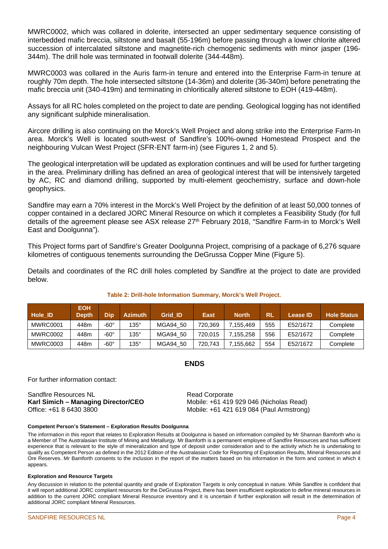MWRC0002, which was collared in dolerite, intersected an upper sedimentary sequence consisting of interbedded mafic breccia, siltstone and basalt (55-196m) before passing through a lower chlorite altered succession of intercalated siltstone and magnetite-rich chemogenic sediments with minor jasper (196- 344m). The drill hole was terminated in footwall dolerite (344-448m).

MWRC0003 was collared in the Auris farm-in tenure and entered into the Enterprise Farm-in tenure at roughly 70m depth. The hole intersected siltstone (14-36m) and dolerite (36-340m) before penetrating the mafic breccia unit (340-419m) and terminating in chloritically altered siltstone to EOH (419-448m).

Assays for all RC holes completed on the project to date are pending. Geological logging has not identified any significant sulphide mineralisation.

Aircore drilling is also continuing on the Morck's Well Project and along strike into the Enterprise Farm-In area. Morck's Well is located south-west of Sandfire's 100%-owned Homestead Prospect and the neighbouring Vulcan West Project (SFR-ENT farm-in) (see Figures 1, 2 and 5).

The geological interpretation will be updated as exploration continues and will be used for further targeting in the area. Preliminary drilling has defined an area of geological interest that will be intensively targeted by AC, RC and diamond drilling, supported by multi-element geochemistry, surface and down-hole geophysics.

Sandfire may earn a 70% interest in the Morck's Well Project by the definition of at least 50,000 tonnes of copper contained in a declared JORC Mineral Resource on which it completes a Feasibility Study (for full details of the agreement please see ASX release 27<sup>th</sup> February 2018, "Sandfire Farm-in to Morck's Well East and Doolgunna").

This Project forms part of Sandfire's Greater Doolgunna Project, comprising of a package of 6,276 square kilometres of contiguous tenements surrounding the DeGrussa Copper Mine (Figure 5).

Details and coordinates of the RC drill holes completed by Sandfire at the project to date are provided below.

| <b>Hole ID</b> | <b>EOH</b><br><b>Depth</b> | Dip         | <b>Azimuth</b> | <b>Grid ID</b> | <b>East</b> | <b>North</b> | <b>RL</b> | <b>Lease ID</b> | <b>Hole Status</b> |
|----------------|----------------------------|-------------|----------------|----------------|-------------|--------------|-----------|-----------------|--------------------|
| MWRC0001       | 448m                       | -60°        | $135^\circ$    | MGA94 50       | 720.369     | 7.155.469    | 555       | E52/1672        | Complete           |
| MWRC0002       | 448m                       | -60°        | $135^\circ$    | MGA94 50       | 720.015     | 7.155.258    | 556       | E52/1672        | Complete           |
| MWRC0003       | 448m                       | $-60^\circ$ | $135^\circ$    | MGA94 50       | 720.743     | 7.155.662    | 554       | E52/1672        | Complete           |

## **Table 2: Drill-hole Information Summary, Morck's Well Project.**

### **ENDS**

For further information contact:

Sandfire Resources NL **Karl Simich – Managing Director/CEO**  Office: +61 8 6430 3800

Read Corporate Mobile: +61 419 929 046 (Nicholas Read) Mobile: +61 421 619 084 (Paul Armstrong)

#### **Competent Person's Statement – Exploration Results Doolgunna**

The information in this report that relates to Exploration Results at Doolgunna is based on information compiled by Mr Shannan Bamforth who is a Member of The Australasian Institute of Mining and Metallurgy. Mr Bamforth is a permanent employee of Sandfire Resources and has sufficient experience that is relevant to the style of mineralization and type of deposit under consideration and to the activity which he is undertaking to qualify as Competent Person as defined in the 2012 Edition of the Australasian Code for Reporting of Exploration Results, Mineral Resources and Ore Reserves. Mr Bamforth consents to the inclusion in the report of the matters based on his information in the form and context in which it appears.

#### **Exploration and Resource Targets**

Any discussion in relation to the potential quantity and grade of Exploration Targets is only conceptual in nature. While Sandfire is confident that it will report additional JORC compliant resources for the DeGrussa Project, there has been insufficient exploration to define mineral resources in addition to the current JORC compliant Mineral Resource inventory and it is uncertain if further exploration will result in the determination of additional JORC compliant Mineral Resources.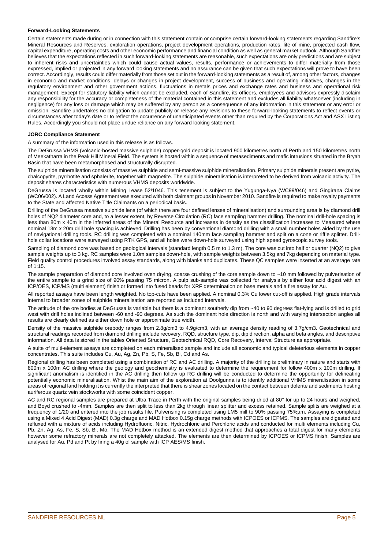#### **Forward-Looking Statements**

Certain statements made during or in connection with this statement contain or comprise certain forward-looking statements regarding Sandfire's Mineral Resources and Reserves, exploration operations, project development operations, production rates, life of mine, projected cash flow, capital expenditure, operating costs and other economic performance and financial condition as well as general market outlook. Although Sandfire believes that the expectations reflected in such forward-looking statements are reasonable, such expectations are only predictions and are subject to inherent risks and uncertainties which could cause actual values, results, performance or achievements to differ materially from those expressed, implied or projected in any forward looking statements and no assurance can be given that such expectations will prove to have been correct. Accordingly, results could differ materially from those set out in the forward-looking statements as a result of, among other factors, changes in economic and market conditions, delays or changes in project development, success of business and operating initiatives, changes in the regulatory environment and other government actions, fluctuations in metals prices and exchange rates and business and operational risk management. Except for statutory liability which cannot be excluded, each of Sandfire, its officers, employees and advisors expressly disclaim any responsibility for the accuracy or completeness of the material contained in this statement and excludes all liability whatsoever (including in negligence) for any loss or damage which may be suffered by any person as a consequence of any information in this statement or any error or omission. Sandfire undertakes no obligation to update publicly or release any revisions to these forward-looking statements to reflect events or circumstances after today's date or to reflect the occurrence of unanticipated events other than required by the Corporations Act and ASX Listing Rules. Accordingly you should not place undue reliance on any forward looking statement.

#### **JORC Compliance Statement**

A summary of the information used in this release is as follows.

The DeGrussa VHMS (volcanic-hosted massive sulphide) copper-gold deposit is located 900 kilometres north of Perth and 150 kilometres north of Meekatharra in the Peak Hill Mineral Field. The system is hosted within a sequence of metasediments and mafic intrusions situated in the Bryah Basin that have been metamorphosed and structurally disrupted.

The sulphide mineralisation consists of massive sulphide and semi-massive sulphide mineralisation. Primary sulphide minerals present are pyrite, chalcopyrite, pyrrhotite and sphalerite, together with magnetite. The sulphide mineralisation is interpreted to be derived from volcanic activity. The deposit shares characteristics with numerous VHMS deposits worldwide.

DeGrussa is located wholly within Mining Lease 52/1046. This tenement is subject to the Yugunga-Nya (WC99/046) and Gingirana Claims (WC06/002). A Land Access Agreement was executed with both claimant groups in November 2010. Sandfire is required to make royalty payments to the State and affected Native Title Claimants on a periodical basis.

Drilling of the DeGrussa massive sulphide lens (of which there are four defined lenses of mineralisation) and surrounding area is by diamond drill holes of NQ2 diameter core and, to a lesser extent, by Reverse Circulation (RC) face sampling hammer drilling. The nominal drill-hole spacing is less than 80m x 40m in the inferred areas of the Mineral Resource and increases in density as the classification increases to Measured where nominal 13m x 20m drill hole spacing is achieved. Drilling has been by conventional diamond drilling with a small number holes aided by the use of navigational drilling tools. RC drilling was completed with a nominal 140mm face sampling hammer and split on a cone or riffle splitter. Drillhole collar locations were surveyed using RTK GPS, and all holes were down-hole surveyed using high speed gyroscopic survey tools.

Sampling of diamond core was based on geological intervals (standard length 0.5 m to 1.3 m). The core was cut into half or quarter (NQ2) to give sample weights up to 3 kg. RC samples were 1.0m samples down-hole, with sample weights between 3.5kg and 7kg depending on material type. Field quality control procedures involved assay standards, along with blanks and duplicates. These QC samples were inserted at an average rate of 1:15.

The sample preparation of diamond core involved oven drying, coarse crushing of the core sample down to ~10 mm followed by pulverisation of the entire sample to a grind size of 90% passing 75 micron. A pulp sub-sample was collected for analysis by either four acid digest with an ICP/OES, ICP/MS (multi element) finish or formed into fused beads for XRF determination on base metals and a fire assay for Au.

All reported assays have been length weighted. No top-cuts have been applied. A nominal 0.3% Cu lower cut-off is applied. High grade intervals internal to broader zones of sulphide mineralisation are reported as included intervals.

The attitude of the ore bodies at DeGrussa is variable but there is a dominant southerly dip from ~40 to 90 degrees flat-lying and is drilled to grid west with drill holes inclined between -60 and -90 degrees. As such the dominant hole direction is north and with varying intersection angles all results are clearly defined as either down hole or approximate true width.

Density of the massive sulphide orebody ranges from 2.8g/cm3 to 4.9g/cm3, with an average density reading of 3.7g/cm3. Geotechnical and structural readings recorded from diamond drilling include recovery, RQD, structure type, dip, dip direction, alpha and beta angles, and descriptive information. All data is stored in the tables Oriented Structure, Geotechnical RQD, Core Recovery, Interval Structure as appropriate.

A suite of multi-element assays are completed on each mineralised sample and include all economic and typical deleterious elements in copper concentrates. This suite includes Cu, Au, Ag, Zn, Pb, S, Fe, Sb, Bi, Cd and As.

Regional drilling has been completed using a combination of RC and AC drilling. A majority of the drilling is preliminary in nature and starts with 800m x 100m AC drilling where the geology and geochemistry is evaluated to determine the requirement for follow 400m x 100m drilling. If significant anomalism is identified in the AC drilling then follow up RC drilling will be conducted to determine the opportunity for delineating potentially economic mineralisation. Whist the main aim of the exploration at Doolgunna is to identify additional VHMS mineralisation in some areas of regional land holding it is currently the interpreted that there is shear zones located on the contact between dolerite and sediments hosting auriferous quartz vein stockworks with some coincident copper.

AC and RC regional samples are prepared at Ultra Trace in Perth with the original samples being dried at 80° for up to 24 hours and weighed, and Boyd crushed to -4mm. Samples are then split to less than 2kg through linear splitter and excess retained. Sample splits are weighed at a frequency of 1/20 and entered into the job results file. Pulverising is completed using LM5 mill to 90% passing 75%µm. Assaying is completed using a Mixed 4 Acid Digest (MAD) 0.3g charge and MAD Hotbox 0.15g charge methods with ICPOES or ICPMS. The samples are digested and refluxed with a mixture of acids including Hydrofluoric, Nitric, Hydrochloric and Perchloric acids and conducted for multi elements including Cu, Pb, Zn, Ag, As, Fe, S, Sb, Bi, Mo. The MAD Hotbox method is an extended digest method that approaches a total digest for many elements however some refractory minerals are not completely attacked. The elements are then determined by ICPOES or ICPMS finish. Samples are analysed for Au, Pd and Pt by firing a 40g of sample with ICP AES/MS finish.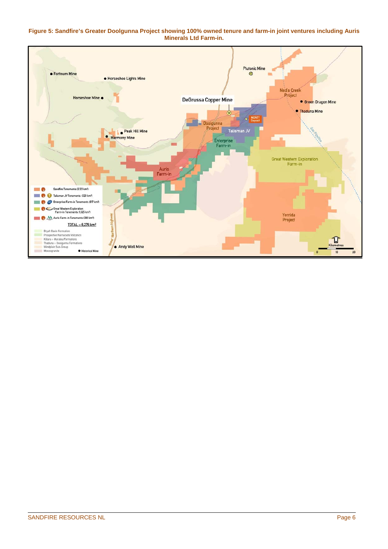#### **Figure 5: Sandfire's Greater Doolgunna Project showing 100% owned tenure and farm-in joint ventures including Auris Minerals Ltd Farm-in.**

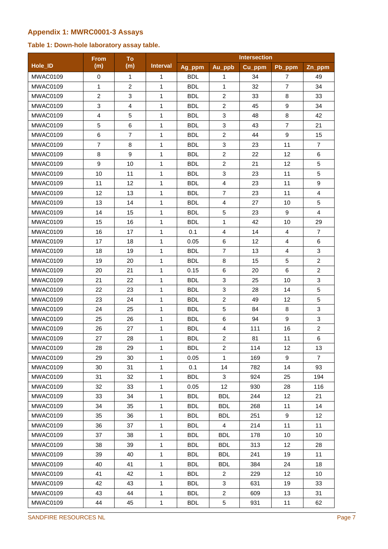## **Appendix 1: MWRC0001-3 Assays**

## **Table 1: Down-hole laboratory assay table.**

|                 | From           | To             |                 | <b>Intersection</b> |                |        |                  |                |
|-----------------|----------------|----------------|-----------------|---------------------|----------------|--------|------------------|----------------|
| Hole <b>ID</b>  | (m)            | (m)            | <b>Interval</b> | Ag_ppm              | Au_ppb         | Cu_ppm | Pb_ppm           | Zn_ppm         |
| MWAC0109        | 0              | $\mathbf{1}$   | 1               | <b>BDL</b>          | 1              | 34     | 7                | 49             |
| MWAC0109        | 1              | $\overline{2}$ | 1               | <b>BDL</b>          | 1              | 32     | $\overline{7}$   | 34             |
| MWAC0109        | $\overline{c}$ | 3              | 1               | <b>BDL</b>          | $\overline{c}$ | 33     | 8                | 33             |
| MWAC0109        | 3              | $\overline{4}$ | 1               | <b>BDL</b>          | $\overline{2}$ | 45     | $\boldsymbol{9}$ | 34             |
| MWAC0109        | 4              | 5              | 1               | <b>BDL</b>          | 3              | 48     | 8                | 42             |
| MWAC0109        | 5              | 6              | $\mathbf{1}$    | <b>BDL</b>          | 3              | 43     | $\overline{7}$   | 21             |
| MWAC0109        | 6              | $\overline{7}$ | 1               | <b>BDL</b>          | $\overline{2}$ | 44     | 9                | 15             |
| MWAC0109        | $\overline{7}$ | 8              | 1               | <b>BDL</b>          | 3              | 23     | 11               | $\overline{7}$ |
| MWAC0109        | 8              | 9              | 1               | <b>BDL</b>          | $\overline{2}$ | 22     | 12               | 6              |
| MWAC0109        | 9              | 10             | 1               | <b>BDL</b>          | $\overline{2}$ | 21     | 12               | 5              |
| MWAC0109        | 10             | 11             | 1               | <b>BDL</b>          | 3              | 23     | 11               | 5              |
| <b>MWAC0109</b> | 11             | 12             | $\mathbf{1}$    | <b>BDL</b>          | $\overline{4}$ | 23     | 11               | 9              |
| MWAC0109        | 12             | 13             | $\mathbf{1}$    | <b>BDL</b>          | $\overline{7}$ | 23     | 11               | $\overline{4}$ |
| MWAC0109        | 13             | 14             | $\mathbf{1}$    | <b>BDL</b>          | $\overline{4}$ | 27     | 10               | 5              |
| MWAC0109        | 14             | 15             | $\mathbf{1}$    | <b>BDL</b>          | 5              | 23     | 9                | $\overline{4}$ |
| MWAC0109        | 15             | 16             | 1               | <b>BDL</b>          | 1              | 42     | 10               | 29             |
| MWAC0109        | 16             | 17             | 1               | 0.1                 | 4              | 14     | $\overline{4}$   | $\overline{7}$ |
| MWAC0109        | 17             | 18             | 1               | 0.05                | 6              | 12     | 4                | 6              |
| MWAC0109        | 18             | 19             | 1               | <b>BDL</b>          | $\overline{7}$ | 13     | 4                | 3              |
| MWAC0109        | 19             | 20             | 1               | <b>BDL</b>          | 8              | 15     | 5                | $\overline{c}$ |
| MWAC0109        | 20             | 21             | 1               | 0.15                | 6              | 20     | 6                | $\overline{2}$ |
| MWAC0109        | 21             | 22             | 1               | <b>BDL</b>          | 3              | 25     | 10               | 3              |
| MWAC0109        | 22             | 23             | 1               | <b>BDL</b>          | 3              | 28     | 14               | 5              |
| MWAC0109        | 23             | 24             | 1               | <b>BDL</b>          | $\overline{c}$ | 49     | 12               | 5              |
| MWAC0109        | 24             | 25             | 1               | <b>BDL</b>          | 5              | 84     | 8                | 3              |
| MWAC0109        | 25             | 26             | 1               | <b>BDL</b>          | 6              | 94     | $\boldsymbol{9}$ | 3              |
| MWAC0109        | 26             | 27             | $\mathbf{1}$    | <b>BDL</b>          | $\overline{4}$ | 111    | 16               | $\overline{2}$ |
| MWAC0109        | 27             | 28             | 1               | <b>BDL</b>          | $\overline{2}$ | 81     | 11               | 6              |
| MWAC0109        | 28             | 29             | $\mathbf{1}$    | <b>BDL</b>          | $\overline{2}$ | 114    | 12               | 13             |
| MWAC0109        | 29             | 30             | $\mathbf{1}$    | 0.05                | $\mathbf{1}$   | 169    | 9                | $\overline{7}$ |
| MWAC0109        | 30             | 31             | $\mathbf{1}$    | 0.1                 | 14             | 782    | 14               | 93             |
| MWAC0109        | 31             | 32             | $\mathbf{1}$    | <b>BDL</b>          | 3              | 924    | 25               | 194            |
| MWAC0109        | 32             | 33             | $\mathbf{1}$    | 0.05                | 12             | 930    | 28               | 116            |
| MWAC0109        | 33             | 34             | $\mathbf{1}$    | <b>BDL</b>          | <b>BDL</b>     | 244    | 12               | 21             |
| MWAC0109        | 34             | 35             | $\mathbf{1}$    | <b>BDL</b>          | <b>BDL</b>     | 268    | 11               | 14             |
| MWAC0109        | 35             | 36             | $\mathbf{1}$    | <b>BDL</b>          | <b>BDL</b>     | 251    | 9                | 12             |
| MWAC0109        | 36             | 37             | $\mathbf{1}$    | <b>BDL</b>          | $\overline{4}$ | 214    | 11               | 11             |
| MWAC0109        | 37             | 38             | 1               | <b>BDL</b>          | <b>BDL</b>     | 178    | 10               | 10             |
| MWAC0109        | 38             | 39             | 1               | <b>BDL</b>          | <b>BDL</b>     | 313    | 12               | 28             |
| MWAC0109        | 39             | 40             | 1               | <b>BDL</b>          | <b>BDL</b>     | 241    | 19               | 11             |
| MWAC0109        | 40             | 41             | $\mathbf{1}$    | <b>BDL</b>          | <b>BDL</b>     | 384    | 24               | 18             |
| MWAC0109        | 41             | 42             | $\mathbf{1}$    | <b>BDL</b>          | $\overline{2}$ | 229    | 12               | 10             |
| MWAC0109        | 42             | 43             | $\mathbf{1}$    | <b>BDL</b>          | 3              | 631    | 19               | 33             |
| MWAC0109        | 43             | 44             | $\mathbf{1}$    | <b>BDL</b>          | $\overline{2}$ | 609    | 13               | 31             |
| MWAC0109        | 44             | 45             | $\mathbf{1}$    | <b>BDL</b>          | 5              | 931    | 11               | 62             |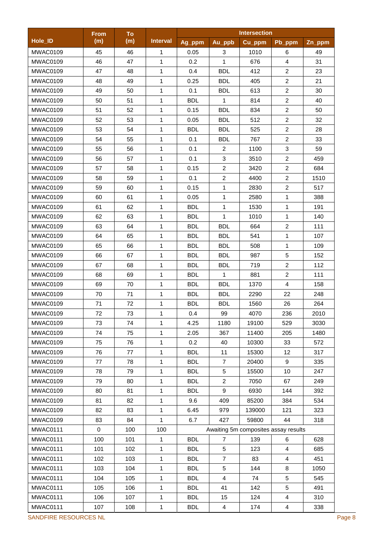|                       | <b>From</b> | To  |                 |            |                | <b>Intersection</b>                  |                |        |
|-----------------------|-------------|-----|-----------------|------------|----------------|--------------------------------------|----------------|--------|
| Hole_ID               | (m)         | (m) | <b>Interval</b> | Ag_ppm     | Au_ppb         | Cu_ppm                               | Pb_ppm         | Zn_ppm |
| MWAC0109              | 45          | 46  | 1               | 0.05       | 3              | 1010                                 | 6              | 49     |
| MWAC0109              | 46          | 47  | $\mathbf{1}$    | 0.2        | 1              | 676                                  | $\overline{4}$ | 31     |
| MWAC0109              | 47          | 48  | 1               | 0.4        | <b>BDL</b>     | 412                                  | $\overline{c}$ | 23     |
| MWAC0109              | 48          | 49  | 1               | 0.25       | <b>BDL</b>     | 405                                  | $\overline{c}$ | 21     |
| MWAC0109              | 49          | 50  | $\mathbf 1$     | 0.1        | <b>BDL</b>     | 613                                  | $\overline{2}$ | 30     |
| MWAC0109              | 50          | 51  | 1               | <b>BDL</b> | $\mathbf{1}$   | 814                                  | $\overline{a}$ | 40     |
| MWAC0109              | 51          | 52  | $\mathbf{1}$    | 0.15       | <b>BDL</b>     | 834                                  | $\overline{c}$ | 50     |
| MWAC0109              | 52          | 53  | 1               | 0.05       | <b>BDL</b>     | 512                                  | $\overline{2}$ | 32     |
| MWAC0109              | 53          | 54  | 1               | <b>BDL</b> | <b>BDL</b>     | 525                                  | $\overline{c}$ | 28     |
| MWAC0109              | 54          | 55  | 1               | 0.1        | <b>BDL</b>     | 767                                  | $\overline{2}$ | 33     |
| MWAC0109              | 55          | 56  | $\mathbf 1$     | 0.1        | $\overline{2}$ | 1100                                 | 3              | 59     |
| MWAC0109              | 56          | 57  | $\mathbf{1}$    | 0.1        | $\mathbf{3}$   | 3510                                 | $\overline{2}$ | 459    |
| MWAC0109              | 57          | 58  | $\mathbf 1$     | 0.15       | $\overline{c}$ | 3420                                 | $\overline{2}$ | 684    |
| MWAC0109              | 58          | 59  | $\mathbf{1}$    | 0.1        | $\overline{2}$ | 4400                                 | $\overline{2}$ | 1510   |
| MWAC0109              | 59          | 60  | $\mathbf{1}$    | 0.15       | $\mathbf{1}$   | 2830                                 | $\overline{2}$ | 517    |
| MWAC0109              | 60          | 61  | $\mathbf{1}$    | 0.05       | 1              | 2580                                 | $\mathbf{1}$   | 388    |
| MWAC0109              | 61          | 62  | $\mathbf{1}$    | <b>BDL</b> | $\mathbf{1}$   | 1530                                 | 1              | 191    |
| MWAC0109              | 62          | 63  | $\mathbf 1$     | <b>BDL</b> | $\mathbf{1}$   | 1010                                 | 1              | 140    |
| MWAC0109              | 63          | 64  | $\mathbf{1}$    | <b>BDL</b> | <b>BDL</b>     | 664                                  | $\overline{2}$ | 111    |
| MWAC0109              | 64          | 65  | 1               | <b>BDL</b> | <b>BDL</b>     | 541                                  | 1              | 107    |
| MWAC0109              | 65          | 66  | 1               | <b>BDL</b> | <b>BDL</b>     | 508                                  | 1              | 109    |
| MWAC0109              | 66          | 67  | 1               | <b>BDL</b> | <b>BDL</b>     | 987                                  | 5              | 152    |
| MWAC0109              | 67          | 68  | 1               | <b>BDL</b> | <b>BDL</b>     | 719                                  | $\overline{2}$ | 112    |
| MWAC0109              | 68          | 69  | 1               | <b>BDL</b> | 1              | 881                                  | $\overline{c}$ | 111    |
| MWAC0109              | 69          | 70  | 1               | <b>BDL</b> | <b>BDL</b>     | 1370                                 | 4              | 158    |
| MWAC0109              | 70          | 71  | $\mathbf{1}$    | <b>BDL</b> | <b>BDL</b>     | 2290                                 | 22             | 248    |
| MWAC0109              | 71          | 72  | $\mathbf{1}$    | <b>BDL</b> | <b>BDL</b>     | 1560                                 | 26             | 264    |
| MWAC0109              | 72          | 73  | $\mathbf{1}$    | 0.4        | 99             | 4070                                 | 236            | 2010   |
| MWAC0109              | 73          | 74  | 1               | 4.25       | 1180           | 19100                                | 529            | 3030   |
| MWAC0109              | 74          | 75  | 1               | 2.05       | 367            | 11400                                | 205            | 1480   |
| MWAC0109              | 75          | 76  | 1               | 0.2        | 40             | 10300                                | 33             | 572    |
| MWAC0109              | 76          | 77  | $\mathbf{1}$    | <b>BDL</b> | 11             | 15300                                | 12             | 317    |
| MWAC0109              | 77          | 78  | 1               | <b>BDL</b> | $\overline{7}$ | 20400                                | 9              | 335    |
| MWAC0109              | 78          | 79  | $\mathbf 1$     | <b>BDL</b> | $\sqrt{5}$     | 15500                                | 10             | 247    |
| MWAC0109              | 79          | 80  | 1               | <b>BDL</b> | $\overline{2}$ | 7050                                 | 67             | 249    |
| MWAC0109              | 80          | 81  | $\mathbf{1}$    | <b>BDL</b> | 9              | 6930                                 | 144            | 392    |
| MWAC0109              | 81          | 82  | $\mathbf 1$     | 9.6        | 409            | 85200                                | 384            | 534    |
| MWAC0109              | 82          | 83  | $\mathbf{1}$    | 6.45       | 979            | 139000                               | 121            | 323    |
| MWAC0109              | 83          | 84  | 1               | 6.7        | 427            | 59800                                | 44             | 318    |
| MWAC0111              | $\mathbf 0$ | 100 | 100             |            |                | Awaiting 5m composites assay results |                |        |
| MWAC0111              | 100         | 101 | 1               | <b>BDL</b> | $\overline{7}$ | 139                                  | 6              | 628    |
| MWAC0111              | 101         | 102 | 1               | <b>BDL</b> | 5              | 123                                  | 4              | 685    |
| MWAC0111              | 102         | 103 | 1               | <b>BDL</b> | $\overline{7}$ | 83                                   | 4              | 451    |
| MWAC0111              | 103         | 104 | 1               | <b>BDL</b> | 5              | 144                                  | 8              | 1050   |
| MWAC0111              | 104         | 105 | 1               | <b>BDL</b> | 4              | 74                                   | 5              | 545    |
| MWAC0111              | 105         | 106 | 1               | <b>BDL</b> | 41             | 142                                  | 5              | 491    |
| MWAC0111              | 106         | 107 | 1               | <b>BDL</b> | 15             | 124                                  | 4              | 310    |
| MWAC0111              | 107         | 108 | 1               | <b>BDL</b> | 4              | 174                                  | 4              | 338    |
| SANDFIRE RESOURCES NL |             |     |                 |            |                |                                      |                |        |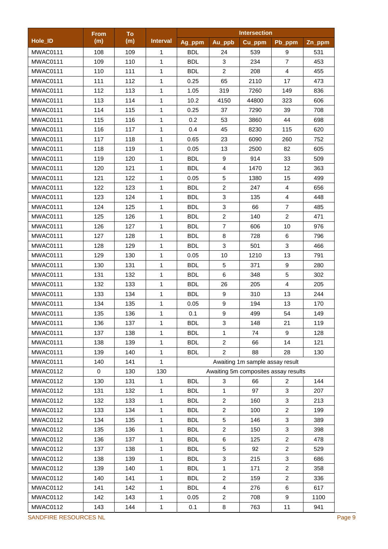|          | <b>From</b> | <b>To</b> |                 |            |                | <b>Intersection</b>                  |                         |        |
|----------|-------------|-----------|-----------------|------------|----------------|--------------------------------------|-------------------------|--------|
| Hole_ID  | (m)         | (m)       | <b>Interval</b> | Ag_ppm     | Au_ppb         | Cu_ppm                               | Pb_ppm                  | Zn_ppm |
| MWAC0111 | 108         | 109       | 1               | <b>BDL</b> | 24             | 539                                  | 9                       | 531    |
| MWAC0111 | 109         | 110       | $\mathbf{1}$    | <b>BDL</b> | 3              | 234                                  | $\overline{7}$          | 453    |
| MWAC0111 | 110         | 111       | 1               | <b>BDL</b> | $\overline{2}$ | 208                                  | 4                       | 455    |
| MWAC0111 | 111         | 112       | 1               | 0.25       | 65             | 2110                                 | 17                      | 473    |
| MWAC0111 | 112         | 113       | $\mathbf{1}$    | 1.05       | 319            | 7260                                 | 149                     | 836    |
| MWAC0111 | 113         | 114       | $\mathbf{1}$    | 10.2       | 4150           | 44800                                | 323                     | 606    |
| MWAC0111 | 114         | 115       | $\mathbf{1}$    | 0.25       | 37             | 7290                                 | 39                      | 708    |
| MWAC0111 | 115         | 116       | 1               | 0.2        | 53             | 3860                                 | 44                      | 698    |
| MWAC0111 | 116         | 117       | 1               | 0.4        | 45             | 8230                                 | 115                     | 620    |
| MWAC0111 | 117         | 118       | 1               | 0.65       | 23             | 6090                                 | 260                     | 752    |
| MWAC0111 | 118         | 119       | $\mathbf 1$     | 0.05       | 13             | 2500                                 | 82                      | 605    |
| MWAC0111 | 119         | 120       | $\mathbf{1}$    | <b>BDL</b> | 9              | 914                                  | 33                      | 509    |
| MWAC0111 | 120         | 121       | $\mathbf 1$     | <b>BDL</b> | $\overline{4}$ | 1470                                 | 12                      | 363    |
| MWAC0111 | 121         | 122       | 1               | 0.05       | 5              | 1380                                 | 15                      | 499    |
| MWAC0111 | 122         | 123       | $\mathbf 1$     | <b>BDL</b> | $\overline{2}$ | 247                                  | $\overline{\mathbf{4}}$ | 656    |
| MWAC0111 | 123         | 124       | $\mathbf{1}$    | <b>BDL</b> | $\mathbf{3}$   | 135                                  | $\overline{4}$          | 448    |
| MWAC0111 | 124         | 125       | $\mathbf{1}$    | <b>BDL</b> | $\mathbf{3}$   | 66                                   | $\overline{7}$          | 485    |
| MWAC0111 | 125         | 126       | $\mathbf{1}$    | <b>BDL</b> | $\overline{2}$ | 140                                  | $\overline{a}$          | 471    |
| MWAC0111 | 126         | 127       | 1               | <b>BDL</b> | $\overline{7}$ | 606                                  | 10                      | 976    |
| MWAC0111 | 127         | 128       | 1               | <b>BDL</b> | 8              | 728                                  | 6                       | 796    |
| MWAC0111 | 128         | 129       | 1               | <b>BDL</b> | 3              | 501                                  | 3                       | 466    |
| MWAC0111 | 129         | 130       | 1               | 0.05       | 10             | 1210                                 | 13                      | 791    |
| MWAC0111 | 130         | 131       | 1               | <b>BDL</b> | 5              | 371                                  | 9                       | 280    |
| MWAC0111 | 131         | 132       | 1               | <b>BDL</b> | 6              | 348                                  | 5                       | 302    |
| MWAC0111 | 132         | 133       | 1               | <b>BDL</b> | 26             | 205                                  | 4                       | 205    |
| MWAC0111 | 133         | 134       | 1               | <b>BDL</b> | 9              | 310                                  | 13                      | 244    |
| MWAC0111 | 134         | 135       | $\mathbf{1}$    | 0.05       | 9              | 194                                  | 13                      | 170    |
| MWAC0111 | 135         | 136       | $\mathbf{1}$    | 0.1        | 9              | 499                                  | 54                      | 149    |
| MWAC0111 | 136         | 137       | 1               | <b>BDL</b> | $\mathbf{3}$   | 148                                  | 21                      | 119    |
| MWAC0111 | 137         | 138       | 1               | <b>BDL</b> | 1              | 74                                   | 9                       | 128    |
| MWAC0111 | 138         | 139       | 1               | <b>BDL</b> | $\overline{2}$ | 66                                   | 14                      | 121    |
| MWAC0111 | 139         | 140       | $\mathbf{1}$    | <b>BDL</b> | $\overline{2}$ | 88                                   | 28                      | 130    |
| MWAC0111 | 140         | 141       | $\mathbf{1}$    |            |                | Awaiting 1m sample assay result      |                         |        |
| MWAC0112 | $\mathbf 0$ | 130       | 130             |            |                | Awaiting 5m composites assay results |                         |        |
| MWAC0112 | 130         | 131       | $\mathbf{1}$    | <b>BDL</b> | 3              | 66                                   | $\overline{2}$          | 144    |
| MWAC0112 | 131         | 132       | $\mathbf{1}$    | <b>BDL</b> | $\mathbf{1}$   | 97                                   | 3                       | 207    |
| MWAC0112 | 132         | 133       | 1               | <b>BDL</b> | $\overline{2}$ | 160                                  | 3                       | 213    |
| MWAC0112 | 133         | 134       | $\mathbf{1}$    | <b>BDL</b> | $\overline{2}$ | 100                                  | $\overline{a}$          | 199    |
| MWAC0112 | 134         | 135       | 1               | <b>BDL</b> | $5\,$          | 146                                  | 3                       | 389    |
| MWAC0112 | 135         | 136       | 1               | <b>BDL</b> | $\overline{c}$ | 150                                  | 3                       | 398    |
| MWAC0112 | 136         | 137       | 1               | <b>BDL</b> | 6              | 125                                  | $\overline{a}$          | 478    |
| MWAC0112 | 137         | 138       | 1               | <b>BDL</b> | 5              | 92                                   | $\overline{a}$          | 529    |
| MWAC0112 | 138         | 139       | 1               | <b>BDL</b> | 3              | 215                                  | 3                       | 686    |
| MWAC0112 | 139         | 140       | 1               | <b>BDL</b> | 1              | 171                                  | $\overline{a}$          | 358    |
| MWAC0112 | 140         | 141       | 1               | <b>BDL</b> | $\overline{2}$ | 159                                  | $\overline{2}$          | 336    |
| MWAC0112 | 141         | 142       | 1               | <b>BDL</b> | $\overline{4}$ | 276                                  | 6                       | 617    |
| MWAC0112 | 142         | 143       | 1               | 0.05       | $\overline{2}$ | 708                                  | 9                       | 1100   |
|          |             |           |                 |            |                |                                      |                         |        |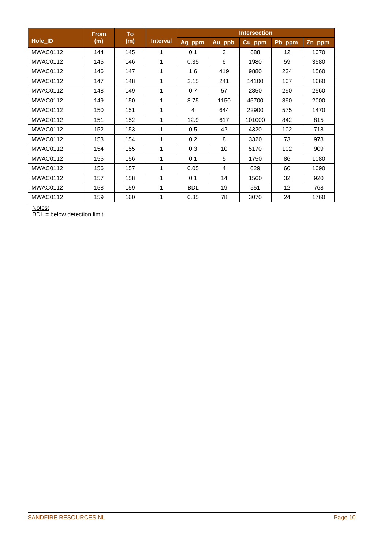|          | <b>From</b> | <b>To</b> |                 | <b>Intersection</b> |                |        |                   |        |  |
|----------|-------------|-----------|-----------------|---------------------|----------------|--------|-------------------|--------|--|
| Hole_ID  | (m)         | (m)       | <b>Interval</b> | Ag_ppm              | Au_ppb         | Cu_ppm | Pb_ppm            | Zn_ppm |  |
| MWAC0112 | 144         | 145       | 1               | 0.1                 | 3              | 688    | $12 \overline{ }$ | 1070   |  |
| MWAC0112 | 145         | 146       | 1               | 0.35                | 6              | 1980   | 59                | 3580   |  |
| MWAC0112 | 146         | 147       | 1               | 1.6                 | 419            | 9880   | 234               | 1560   |  |
| MWAC0112 | 147         | 148       | 1               | 2.15                | 241            | 14100  | 107               | 1660   |  |
| MWAC0112 | 148         | 149       | 1               | 0.7                 | 57             | 2850   | 290               | 2560   |  |
| MWAC0112 | 149         | 150       | 1               | 8.75                | 1150           | 45700  | 890               | 2000   |  |
| MWAC0112 | 150         | 151       | 1               | 4                   | 644            | 22900  | 575               | 1470   |  |
| MWAC0112 | 151         | 152       | 1               | 12.9                | 617            | 101000 | 842               | 815    |  |
| MWAC0112 | 152         | 153       | 1               | 0.5                 | 42             | 4320   | 102               | 718    |  |
| MWAC0112 | 153         | 154       | 1               | 0.2                 | 8              | 3320   | 73                | 978    |  |
| MWAC0112 | 154         | 155       | 1               | 0.3                 | 10             | 5170   | 102               | 909    |  |
| MWAC0112 | 155         | 156       | 1               | 0.1                 | 5              | 1750   | 86                | 1080   |  |
| MWAC0112 | 156         | 157       | 1               | 0.05                | $\overline{4}$ | 629    | 60                | 1090   |  |
| MWAC0112 | 157         | 158       | 1               | 0.1                 | 14             | 1560   | 32                | 920    |  |
| MWAC0112 | 158         | 159       | 1               | <b>BDL</b>          | 19             | 551    | 12                | 768    |  |
| MWAC0112 | 159         | 160       | 1               | 0.35                | 78             | 3070   | 24                | 1760   |  |

Notes:

BDL = below detection limit.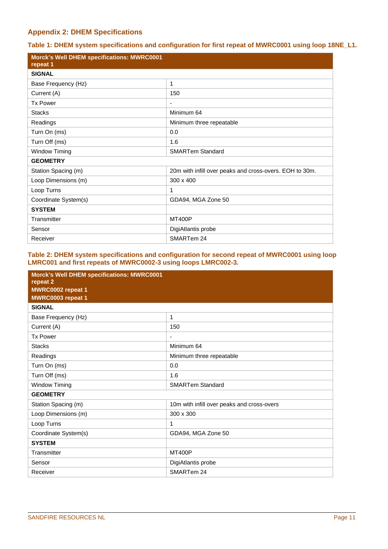## **Appendix 2: DHEM Specifications**

**Table 1: DHEM system specifications and configuration for first repeat of MWRC0001 using loop 18NE\_L1.** 

| <b>Morck's Well DHEM specifications: MWRC0001</b><br>repeat 1 |                                                         |
|---------------------------------------------------------------|---------------------------------------------------------|
| <b>SIGNAL</b>                                                 |                                                         |
| Base Frequency (Hz)                                           | 1                                                       |
| Current (A)                                                   | 150                                                     |
| <b>Tx Power</b>                                               | ٠                                                       |
| <b>Stacks</b>                                                 | Minimum 64                                              |
| Readings                                                      | Minimum three repeatable                                |
| Turn On (ms)                                                  | 0.0                                                     |
| Turn Off (ms)                                                 | 1.6                                                     |
| <b>Window Timing</b>                                          | <b>SMARTem Standard</b>                                 |
| <b>GEOMETRY</b>                                               |                                                         |
| Station Spacing (m)                                           | 20m with infill over peaks and cross-overs. EOH to 30m. |
| Loop Dimensions (m)                                           | 300 x 400                                               |
| Loop Turns                                                    | 1                                                       |
| Coordinate System(s)                                          | GDA94, MGA Zone 50                                      |
| <b>SYSTEM</b>                                                 |                                                         |
| Transmitter                                                   | <b>MT400P</b>                                           |
| Sensor                                                        | DigiAtlantis probe                                      |
| Receiver                                                      | SMARTem 24                                              |

### **Table 2: DHEM system specifications and configuration for second repeat of MWRC0001 using loop LMRC001 and first repeats of MWRC0002-3 using loops LMRC002-3.**

| <b>Morck's Well DHEM specifications: MWRC0001</b><br>repeat 2<br>MWRC0002 repeat 1<br>MWRC0003 repeat 1 |                                            |
|---------------------------------------------------------------------------------------------------------|--------------------------------------------|
| <b>SIGNAL</b>                                                                                           |                                            |
| Base Frequency (Hz)                                                                                     | 1                                          |
| Current (A)                                                                                             | 150                                        |
| <b>Tx Power</b>                                                                                         | -                                          |
| <b>Stacks</b>                                                                                           | Minimum 64                                 |
| Readings                                                                                                | Minimum three repeatable                   |
| Turn On (ms)                                                                                            | 0.0                                        |
| Turn Off (ms)                                                                                           | 1.6                                        |
| <b>Window Timing</b>                                                                                    | <b>SMARTem Standard</b>                    |
| <b>GEOMETRY</b>                                                                                         |                                            |
| Station Spacing (m)                                                                                     | 10m with infill over peaks and cross-overs |
| Loop Dimensions (m)                                                                                     | 300 x 300                                  |
| Loop Turns                                                                                              | 1                                          |
| Coordinate System(s)                                                                                    | GDA94, MGA Zone 50                         |
| <b>SYSTEM</b>                                                                                           |                                            |
| Transmitter                                                                                             | <b>MT400P</b>                              |
| Sensor                                                                                                  | DigiAtlantis probe                         |
| Receiver                                                                                                | SMARTem 24                                 |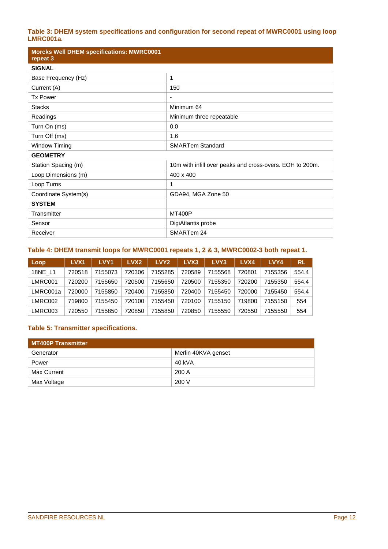## **Table 3: DHEM system specifications and configuration for second repeat of MWRC0001 using loop LMRC001a.**

| <b>Morcks Well DHEM specifications: MWRC0001</b><br>repeat 3 |                                                          |
|--------------------------------------------------------------|----------------------------------------------------------|
| <b>SIGNAL</b>                                                |                                                          |
| Base Frequency (Hz)                                          | 1                                                        |
| Current (A)                                                  | 150                                                      |
| <b>Tx Power</b>                                              | $\overline{\phantom{a}}$                                 |
| <b>Stacks</b>                                                | Minimum 64                                               |
| Readings                                                     | Minimum three repeatable                                 |
| Turn On (ms)                                                 | 0.0                                                      |
| Turn Off (ms)                                                | 1.6                                                      |
| Window Timing                                                | <b>SMARTem Standard</b>                                  |
| <b>GEOMETRY</b>                                              |                                                          |
| Station Spacing (m)                                          | 10m with infill over peaks and cross-overs. EOH to 200m. |
| Loop Dimensions (m)                                          | 400 x 400                                                |
| Loop Turns                                                   | 1                                                        |
| Coordinate System(s)                                         | GDA94, MGA Zone 50                                       |
| <b>SYSTEM</b>                                                |                                                          |
| Transmitter                                                  | <b>MT400P</b>                                            |
| Sensor                                                       | DigiAtlantis probe                                       |
| Receiver                                                     | SMARTem 24                                               |

### **Table 4: DHEM transmit loops for MWRC0001 repeats 1, 2 & 3, MWRC0002-3 both repeat 1.**

| Loop     | <b>LVX1</b> | LVY <sub>1</sub> | LVX <sub>2</sub> | LVY <sub>2</sub> | LVX3   | LVY3    | LVX4   | LVY4    | <b>RL</b> |
|----------|-------------|------------------|------------------|------------------|--------|---------|--------|---------|-----------|
| 18NE L1  | 720518      | 7155073          | 720306           | 7155285          | 720589 | 7155568 | 720801 | 7155356 | 554.4     |
| LMRC001  | 720200      | 7155650          | 720500           | 7155650          | 720500 | 7155350 | 720200 | 7155350 | 554.4     |
| LMRC001a | 720000      | 7155850          | 720400           | 7155850          | 720400 | 7155450 | 720000 | 7155450 | 554.4     |
| LMRC002  | 719800      | 7155450          | 720100           | 7155450          | 720100 | 7155150 | 719800 | 7155150 | 554       |
| LMRC003  | 720550      | 7155850          | 720850           | 7155850          | 720850 | 7155550 | 720550 | 7155550 | 554       |

## **Table 5: Transmitter specifications.**

| <b>MT400P Transmitter</b> |                     |  |  |  |  |  |
|---------------------------|---------------------|--|--|--|--|--|
| Generator                 | Merlin 40KVA genset |  |  |  |  |  |
| Power                     | 40 kVA              |  |  |  |  |  |
| Max Current               | 200A                |  |  |  |  |  |
| Max Voltage               | 200 V               |  |  |  |  |  |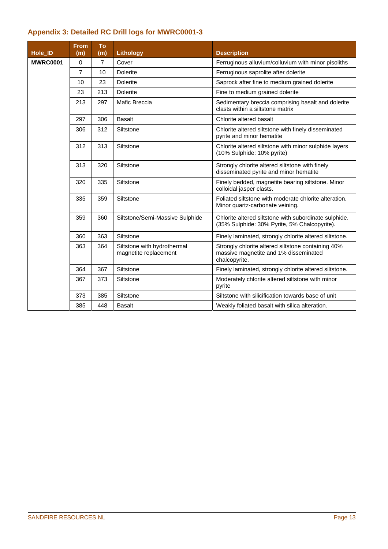## **Appendix 3: Detailed RC Drill logs for MWRC0001-3**

| Hole ID         | <b>From</b><br>(m) | To<br>$\overline{(m)}$ | Lithology                                            | <b>Description</b>                                                                                           |
|-----------------|--------------------|------------------------|------------------------------------------------------|--------------------------------------------------------------------------------------------------------------|
| <b>MWRC0001</b> | $\Omega$           | $\overline{7}$         | Cover                                                | Ferruginous alluvium/colluvium with minor pisoliths                                                          |
|                 | $\overline{7}$     | 10                     | <b>Dolerite</b>                                      | Ferruginous saprolite after dolerite                                                                         |
|                 | 10                 | 23                     | <b>Dolerite</b>                                      | Saprock after fine to medium grained dolerite                                                                |
|                 | 23                 | 213                    | <b>Dolerite</b>                                      | Fine to medium grained dolerite                                                                              |
|                 | 213                | 297                    | Mafic Breccia                                        | Sedimentary breccia comprising basalt and dolerite<br>clasts within a siltstone matrix                       |
|                 | 297                | 306                    | <b>Basalt</b>                                        | Chlorite altered basalt                                                                                      |
|                 | 306                | 312                    | Siltstone                                            | Chlorite altered siltstone with finely disseminated<br>pyrite and minor hematite                             |
|                 | 312                | 313                    | Siltstone                                            | Chlorite altered siltstone with minor sulphide layers<br>(10% Sulphide: 10% pyrite)                          |
|                 | 313                | 320                    | Siltstone                                            | Strongly chlorite altered siltstone with finely<br>disseminated pyrite and minor hematite                    |
|                 | 320                | 335                    | Siltstone                                            | Finely bedded, magnetite bearing siltstone. Minor<br>colloidal jasper clasts.                                |
|                 | 335                | 359                    | Siltstone                                            | Foliated siltstone with moderate chlorite alteration.<br>Minor quartz-carbonate veining.                     |
|                 | 359                | 360                    | Siltstone/Semi-Massive Sulphide                      | Chlorite altered siltstone with subordinate sulphide.<br>(35% Sulphide: 30% Pyrite, 5% Chalcopyrite).        |
|                 | 360                | 363                    | Siltstone                                            | Finely laminated, strongly chlorite altered siltstone.                                                       |
|                 | 363                | 364                    | Siltstone with hydrothermal<br>magnetite replacement | Strongly chlorite altered siltstone containing 40%<br>massive magnetite and 1% disseminated<br>chalcopyrite. |
|                 | 364                | 367                    | Siltstone                                            | Finely laminated, strongly chlorite altered siltstone.                                                       |
|                 | 367                | 373                    | Siltstone                                            | Moderately chlorite altered siltstone with minor<br>pyrite                                                   |
|                 | 373                | 385                    | Siltstone                                            | Siltstone with silicification towards base of unit                                                           |
|                 | 385                | 448                    | <b>Basalt</b>                                        | Weakly foliated basalt with silica alteration.                                                               |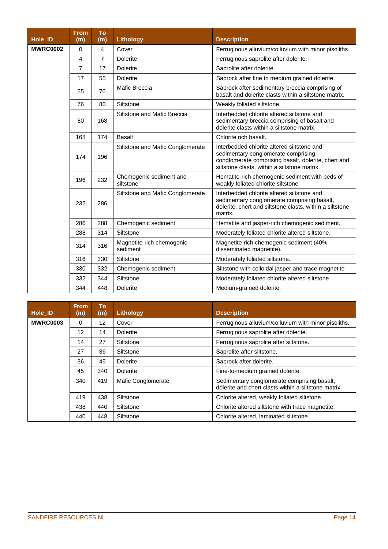| Hole_ID         | <b>From</b><br>(m) | To<br>(m)      | <b>Lithology</b>                      | <b>Description</b>                                                                                                                                                                       |
|-----------------|--------------------|----------------|---------------------------------------|------------------------------------------------------------------------------------------------------------------------------------------------------------------------------------------|
|                 |                    |                |                                       |                                                                                                                                                                                          |
| <b>MWRC0002</b> | 0                  | 4              | Cover                                 | Ferruginous alluvium/colluvium with minor pisoliths.                                                                                                                                     |
|                 | 4                  | $\overline{7}$ | <b>Dolerite</b>                       | Ferruginous saprolite after dolerite.                                                                                                                                                    |
|                 | $\overline{7}$     | 17             | <b>Dolerite</b>                       | Saprolite after dolerite.                                                                                                                                                                |
|                 | 17                 | 55             | <b>Dolerite</b>                       | Saprock after fine to medium grained dolerite.                                                                                                                                           |
|                 | 55                 | 76             | Mafic Breccia                         | Saprock after sedimentary breccia comprising of<br>basalt and dolerite clasts within a siltstone matrix.                                                                                 |
|                 | 76                 | 80             | Siltstone                             | Weakly foliated siltstone.                                                                                                                                                               |
|                 | 80                 | 168            | Siltstone and Mafic Breccia           | Interbedded chlorite altered siltstone and<br>sedimentary breccia comprising of basalt and<br>dolerite clasts within a siltstone matrix.                                                 |
|                 | 168                | 174            | <b>Basalt</b>                         | Chlorite rich basalt.                                                                                                                                                                    |
|                 | 174                | 196            | Siltstone and Mafic Conglomerate      | Interbedded chlorite altered siltstone and<br>sedimentary conglomerate comprising<br>conglomerate comprising basalt, dolerite, chert and<br>siltstone clasts, within a siltstone matrix. |
|                 | 196                | 232            | Chemogenic sediment and<br>siltstone  | Hematite-rich chemogenic sediment with beds of<br>weakly foliated chlorite siltstone.                                                                                                    |
|                 | 232                | 286            | Siltstone and Mafic Conglomerate      | Interbedded chlorite altered siltstone and<br>sedimentary conglomerate comprising basalt,<br>dolerite, chert and siltstone clasts, within a siltstone<br>matrix.                         |
|                 | 286                | 288            | Chemogenic sediment                   | Hematite and jasper-rich chemogenic sediment.                                                                                                                                            |
|                 | 288                | 314            | Siltstone                             | Moderately foliated chlorite altered siltstone.                                                                                                                                          |
|                 | 314                | 316            | Magnetite-rich chemogenic<br>sediment | Magnetite-rich chemogenic sediment (40%<br>disseminated magnetite).                                                                                                                      |
|                 | 316                | 330            | Siltstone                             | Moderately foliated siltstone.                                                                                                                                                           |
|                 | 330                | 332            | Chemogenic sediment                   | Siltstone with colloidal jasper and trace magnetite                                                                                                                                      |
|                 | 332                | 344            | Siltstone                             | Moderately foliated chlorite altered siltstone.                                                                                                                                          |
|                 | 344                | 448            | <b>Dolerite</b>                       | Medium-grained dolerite.                                                                                                                                                                 |

| <b>Hole ID</b>  | <b>From</b><br>(m) | To<br>(m) | Lithology          | <b>Description</b>                                                                                  |
|-----------------|--------------------|-----------|--------------------|-----------------------------------------------------------------------------------------------------|
| <b>MWRC0003</b> | 0                  | 12        | Cover              | Ferruginous alluvium/colluvium with minor pisoliths.                                                |
|                 | 12                 | 14        | <b>Dolerite</b>    | Ferruginous saprolite after dolerite.                                                               |
|                 | 14                 | 27        | Siltstone          | Ferruginous saprolite after siltstone.                                                              |
|                 | 27                 | 36        | Siltstone          | Saprolite after siltstone.                                                                          |
|                 | 36                 | 45        | <b>Dolerite</b>    | Saprock after dolerite.                                                                             |
|                 | 45                 | 340       | <b>Dolerite</b>    | Fine-to-medium grained dolerite.                                                                    |
|                 | 340                | 419       | Mafic Conglomerate | Sedimentary conglomerate comprising basalt,<br>dolerite and chert clasts within a siltstone matrix. |
|                 | 419                | 438       | Siltstone          | Chlorite altered, weakly foliated siltstone.                                                        |
|                 | 438                | 440       | Siltstone          | Chlorite altered siltstone with trace magnetite.                                                    |
|                 | 440                | 448       | Siltstone          | Chlorite altered, laminated siltstone.                                                              |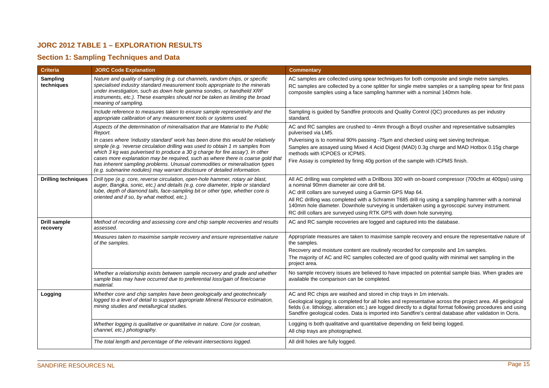## **JORC 2012 TABLE 1 – EXPLORATION RESULTS**

## **Section 1: Sampling Techniques and Data**

| <b>Criteria</b>                 | <b>JORC Code Explanation</b>                                                                                                                                                                                                                                                                                                                                                                                                                                                                                                                                                                 | <b>Commentary</b>                                                                                                                                                                                                                                                                                                                                                                                                                                                                             |  |
|---------------------------------|----------------------------------------------------------------------------------------------------------------------------------------------------------------------------------------------------------------------------------------------------------------------------------------------------------------------------------------------------------------------------------------------------------------------------------------------------------------------------------------------------------------------------------------------------------------------------------------------|-----------------------------------------------------------------------------------------------------------------------------------------------------------------------------------------------------------------------------------------------------------------------------------------------------------------------------------------------------------------------------------------------------------------------------------------------------------------------------------------------|--|
| Sampling<br>techniques          | Nature and quality of sampling (e.g. cut channels, random chips, or specific<br>specialised industry standard measurement tools appropriate to the minerals<br>under investigation, such as down hole gamma sondes, or handheld XRF<br>instruments, etc.). These examples should not be taken as limiting the broad<br>meaning of sampling.                                                                                                                                                                                                                                                  | AC samples are collected using spear techniques for both composite and single metre samples.<br>RC samples are collected by a cone splitter for single metre samples or a sampling spear for first pass<br>composite samples using a face sampling hammer with a nominal 140mm hole.                                                                                                                                                                                                          |  |
|                                 | Include reference to measures taken to ensure sample representivity and the<br>appropriate calibration of any measurement tools or systems used.                                                                                                                                                                                                                                                                                                                                                                                                                                             | Sampling is quided by Sandfire protocols and Quality Control (QC) procedures as per industry<br>standard.                                                                                                                                                                                                                                                                                                                                                                                     |  |
|                                 | Aspects of the determination of mineralisation that are Material to the Public<br>Report.<br>In cases where 'industry standard' work has been done this would be relatively<br>simple (e.g. 'reverse circulation drilling was used to obtain 1 m samples from<br>which 3 kg was pulverised to produce a 30 g charge for fire assay'). In other<br>cases more explanation may be required, such as where there is coarse gold that<br>has inherent sampling problems. Unusual commodities or mineralisation types<br>(e.g. submarine nodules) may warrant disclosure of detailed information. | AC and RC samples are crushed to -4mm through a Boyd crusher and representative subsamples<br>pulverised via LM5.<br>Pulverising is to nominal 90% passing -75µm and checked using wet sieving technique.<br>Samples are assayed using Mixed 4 Acid Digest (MAD) 0.3g charge and MAD Hotbox 0.15g charge<br>methods with ICPOES or ICPMS.<br>Fire Assay is completed by firing 40g portion of the sample with ICPMS finish.                                                                   |  |
| <b>Drilling techniques</b>      | Drill type (e.g. core, reverse circulation, open-hole hammer, rotary air blast,<br>auger, Bangka, sonic, etc.) and details (e.g. core diameter, triple or standard<br>tube, depth of diamond tails, face-sampling bit or other type, whether core is<br>oriented and if so, by what method, etc.).                                                                                                                                                                                                                                                                                           | All AC drilling was completed with a Drillboss 300 with on-board compressor (700cfm at 400psi) using<br>a nominal 90mm diameter air core drill bit.<br>AC drill collars are surveyed using a Garmin GPS Map 64.<br>All RC drilling was completed with a Schramm T685 drill rig using a sampling hammer with a nominal<br>140mm hole diameter. Downhole surveying is undertaken using a gyroscopic survey instrument.<br>RC drill collars are surveyed using RTK GPS with down hole surveying. |  |
| <b>Drill sample</b><br>recovery | Method of recording and assessing core and chip sample recoveries and results<br>assessed.                                                                                                                                                                                                                                                                                                                                                                                                                                                                                                   | AC and RC sample recoveries are logged and captured into the database.                                                                                                                                                                                                                                                                                                                                                                                                                        |  |
|                                 | Measures taken to maximise sample recovery and ensure representative nature<br>of the samples.                                                                                                                                                                                                                                                                                                                                                                                                                                                                                               | Appropriate measures are taken to maximise sample recovery and ensure the representative nature of<br>the samples.<br>Recovery and moisture content are routinely recorded for composite and 1m samples.<br>The majority of AC and RC samples collected are of good quality with minimal wet sampling in the<br>project area.                                                                                                                                                                 |  |
|                                 | Whether a relationship exists between sample recovery and grade and whether<br>sample bias may have occurred due to preferential loss/gain of fine/coarse<br>material.                                                                                                                                                                                                                                                                                                                                                                                                                       | No sample recovery issues are believed to have impacted on potential sample bias. When grades are<br>available the comparison can be completed.                                                                                                                                                                                                                                                                                                                                               |  |
| Logging                         | Whether core and chip samples have been geologically and geotechnically<br>logged to a level of detail to support appropriate Mineral Resource estimation,<br>mining studies and metallurgical studies.                                                                                                                                                                                                                                                                                                                                                                                      | AC and RC chips are washed and stored in chip trays in 1m intervals.<br>Geological logging is completed for all holes and representative across the project area. All geological<br>fields (i.e. lithology, alteration etc.) are logged directly to a digital format following procedures and using<br>Sandfire geological codes. Data is imported into Sandfire's central database after validation in Ocris.                                                                                |  |
|                                 | Whether logging is qualitative or quantitative in nature. Core (or costean,<br>channel, etc.) photography.                                                                                                                                                                                                                                                                                                                                                                                                                                                                                   | Logging is both qualitative and quantitative depending on field being logged.<br>All chip trays are photographed.                                                                                                                                                                                                                                                                                                                                                                             |  |
|                                 | The total length and percentage of the relevant intersections logged.                                                                                                                                                                                                                                                                                                                                                                                                                                                                                                                        | All drill holes are fully logged.                                                                                                                                                                                                                                                                                                                                                                                                                                                             |  |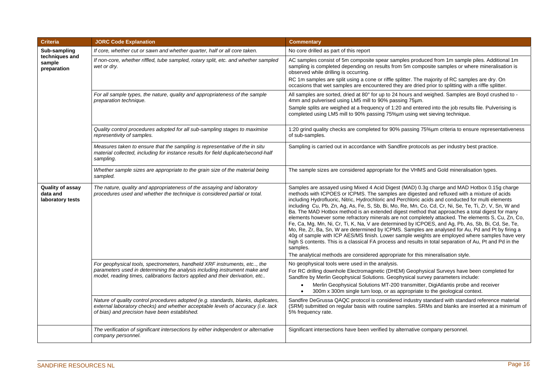| <b>Criteria</b>                                  | <b>JORC Code Explanation</b>                                                                                                                                                                                                          | <b>Commentary</b>                                                                                                                                                                                                                                                                                                                                                                                                                                                                                                                                                                                                                                                                                                                                                                                                                                                                                                                                                                                                                                                                                                                          |
|--------------------------------------------------|---------------------------------------------------------------------------------------------------------------------------------------------------------------------------------------------------------------------------------------|--------------------------------------------------------------------------------------------------------------------------------------------------------------------------------------------------------------------------------------------------------------------------------------------------------------------------------------------------------------------------------------------------------------------------------------------------------------------------------------------------------------------------------------------------------------------------------------------------------------------------------------------------------------------------------------------------------------------------------------------------------------------------------------------------------------------------------------------------------------------------------------------------------------------------------------------------------------------------------------------------------------------------------------------------------------------------------------------------------------------------------------------|
| Sub-sampling                                     | If core, whether cut or sawn and whether quarter, half or all core taken.                                                                                                                                                             | No core drilled as part of this report                                                                                                                                                                                                                                                                                                                                                                                                                                                                                                                                                                                                                                                                                                                                                                                                                                                                                                                                                                                                                                                                                                     |
| techniques and<br>sample<br>preparation          | If non-core, whether riffled, tube sampled, rotary split, etc. and whether sampled<br>wet or dry.                                                                                                                                     | AC samples consist of 5m composite spear samples produced from 1m sample piles. Additional 1m<br>sampling is completed depending on results from 5m composite samples or where mineralisation is<br>observed while drilling is occurring.<br>RC 1m samples are split using a cone or riffle splitter. The majority of RC samples are dry. On<br>occasions that wet samples are encountered they are dried prior to splitting with a riffle splitter.                                                                                                                                                                                                                                                                                                                                                                                                                                                                                                                                                                                                                                                                                       |
|                                                  | For all sample types, the nature, quality and appropriateness of the sample<br>preparation technique.                                                                                                                                 | All samples are sorted, dried at 80° for up to 24 hours and weighed. Samples are Boyd crushed to -<br>4mm and pulverised using LM5 mill to 90% passing 75um.<br>Sample splits are weighed at a frequency of 1:20 and entered into the job results file. Pulverising is<br>completed using LM5 mill to 90% passing 75%um using wet sieving technique.                                                                                                                                                                                                                                                                                                                                                                                                                                                                                                                                                                                                                                                                                                                                                                                       |
|                                                  | Quality control procedures adopted for all sub-sampling stages to maximise<br>representivity of samples.                                                                                                                              | 1:20 grind quality checks are completed for 90% passing 75%um criteria to ensure representativeness<br>of sub-samples.                                                                                                                                                                                                                                                                                                                                                                                                                                                                                                                                                                                                                                                                                                                                                                                                                                                                                                                                                                                                                     |
|                                                  | Measures taken to ensure that the sampling is representative of the in situ<br>material collected, including for instance results for field duplicate/second-half<br>sampling.                                                        | Sampling is carried out in accordance with Sandfire protocols as per industry best practice.                                                                                                                                                                                                                                                                                                                                                                                                                                                                                                                                                                                                                                                                                                                                                                                                                                                                                                                                                                                                                                               |
|                                                  | Whether sample sizes are appropriate to the grain size of the material being<br>sampled.                                                                                                                                              | The sample sizes are considered appropriate for the VHMS and Gold mineralisation types.                                                                                                                                                                                                                                                                                                                                                                                                                                                                                                                                                                                                                                                                                                                                                                                                                                                                                                                                                                                                                                                    |
| Quality of assay<br>data and<br>laboratory tests | The nature, quality and appropriateness of the assaying and laboratory<br>procedures used and whether the technique is considered partial or total.                                                                                   | Samples are assayed using Mixed 4 Acid Digest (MAD) 0.3g charge and MAD Hotbox 0.15g charge<br>methods with ICPOES or ICPMS. The samples are digested and refluxed with a mixture of acids<br>including Hydrofluoric, Nitric, Hydrochloric and Perchloric acids and conducted for multi elements<br>including Cu, Pb, Zn, Ag, As, Fe, S, Sb, Bi, Mo, Re, Mn, Co, Cd, Cr, Ni, Se, Te, Ti, Zr, V, Sn, W and<br>Ba. The MAD Hotbox method is an extended digest method that approaches a total digest for many<br>elements however some refractory minerals are not completely attacked. The elements S, Cu, Zn, Co,<br>Fe, Ca, Mg, Mn, Ni, Cr, Ti, K, Na, V are determined by ICPOES, and Ag, Pb, As, Sb, Bi, Cd, Se, Te,<br>Mo, Re, Zr, Ba, Sn, W are determined by ICPMS. Samples are analysed for Au, Pd and Pt by firing a<br>40g of sample with ICP AES/MS finish. Lower sample weights are employed where samples have very<br>high S contents. This is a classical FA process and results in total separation of Au, Pt and Pd in the<br>samples.<br>The analytical methods are considered appropriate for this mineralisation style. |
|                                                  | For geophysical tools, spectrometers, handheld XRF instruments, etc, the<br>parameters used in determining the analysis including instrument make and<br>model, reading times, calibrations factors applied and their derivation, etc | No geophysical tools were used in the analysis.<br>For RC drilling downhole Electromagnetic (DHEM) Geophysical Surveys have been completed for<br>Sandfire by Merlin Geophysical Solutions. Geophysical survey parameters include:<br>Merlin Geophysical Solutions MT-200 transmitter, DigiAtlantis probe and receiver<br>300m x 300m single turn loop, or as appropriate to the geological context.                                                                                                                                                                                                                                                                                                                                                                                                                                                                                                                                                                                                                                                                                                                                       |
|                                                  | Nature of quality control procedures adopted (e.g. standards, blanks, duplicates,<br>external laboratory checks) and whether acceptable levels of accuracy (i.e. lack<br>of bias) and precision have been established.                | Sandfire DeGrussa QAQC protocol is considered industry standard with standard reference material<br>(SRM) submitted on regular basis with routine samples. SRMs and blanks are inserted at a minimum of<br>5% frequency rate.                                                                                                                                                                                                                                                                                                                                                                                                                                                                                                                                                                                                                                                                                                                                                                                                                                                                                                              |
|                                                  | The verification of significant intersections by either independent or alternative<br>company personnel.                                                                                                                              | Significant intersections have been verified by alternative company personnel.                                                                                                                                                                                                                                                                                                                                                                                                                                                                                                                                                                                                                                                                                                                                                                                                                                                                                                                                                                                                                                                             |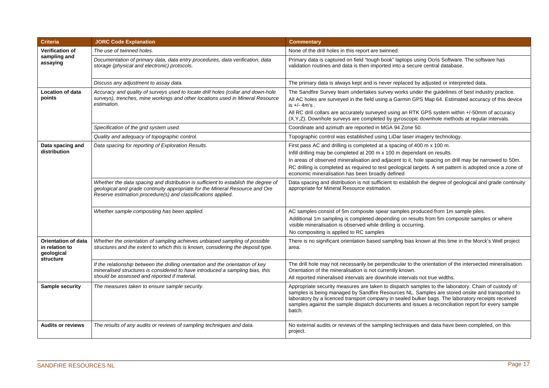| <b>Criteria</b>                                                         | <b>JORC Code Explanation</b>                                                                                                                                                                                                       | <b>Commentary</b>                                                                                                                                                                                                                                                                                                                                                                                                            |
|-------------------------------------------------------------------------|------------------------------------------------------------------------------------------------------------------------------------------------------------------------------------------------------------------------------------|------------------------------------------------------------------------------------------------------------------------------------------------------------------------------------------------------------------------------------------------------------------------------------------------------------------------------------------------------------------------------------------------------------------------------|
| <b>Verification of</b><br>sampling and<br>assaying                      | The use of twinned holes.                                                                                                                                                                                                          | None of the drill holes in this report are twinned.                                                                                                                                                                                                                                                                                                                                                                          |
|                                                                         | Documentation of primary data, data entry procedures, data verification, data<br>storage (physical and electronic) protocols.                                                                                                      | Primary data is captured on field "tough book" laptops using Ocris Software. The software has<br>validation routines and data is then imported into a secure central database.                                                                                                                                                                                                                                               |
|                                                                         | Discuss any adjustment to assay data.                                                                                                                                                                                              | The primary data is always kept and is never replaced by adjusted or interpreted data.                                                                                                                                                                                                                                                                                                                                       |
| <b>Location of data</b><br>points                                       | Accuracy and quality of surveys used to locate drill holes (collar and down-hole<br>surveys), trenches, mine workings and other locations used in Mineral Resource<br>estimation.                                                  | The Sandfire Survey team undertakes survey works under the quidelines of best industry practice.<br>All AC holes are surveyed in the field using a Garmin GPS Map 64. Estimated accuracy of this device<br>is $+/-$ 4m's.<br>All RC drill collars are accurately surveyed using an RTK GPS system within +/-50mm of accuracy<br>(X,Y,Z). Downhole surveys are completed by gyroscopic downhole methods at regular intervals. |
|                                                                         | Specification of the grid system used.                                                                                                                                                                                             | Coordinate and azimuth are reported in MGA 94 Zone 50.                                                                                                                                                                                                                                                                                                                                                                       |
|                                                                         | Quality and adequacy of topographic control.                                                                                                                                                                                       | Topographic control was established using LiDar laser imagery technology.                                                                                                                                                                                                                                                                                                                                                    |
| Data spacing and<br>distribution                                        | Data spacing for reporting of Exploration Results.                                                                                                                                                                                 | First pass AC and drilling is completed at a spacing of 400 m x 100 m.<br>Infill drilling may be completed at 200 m x 100 m dependant on results.<br>In areas of observed mineralisation and adjacent to it, hole spacing on drill may be narrowed to 50m.<br>RC drilling is completed as required to test geological targets. A set pattern is adopted once a zone of<br>economic mineralisation has been broadly defined   |
|                                                                         | Whether the data spacing and distribution is sufficient to establish the degree of<br>geological and grade continuity appropriate for the Mineral Resource and Ore<br>Reserve estimation procedure(s) and classifications applied. | Data spacing and distribution is not sufficient to establish the degree of geological and grade continuity<br>appropriate for Mineral Resource estimation.                                                                                                                                                                                                                                                                   |
|                                                                         | Whether sample compositing has been applied.                                                                                                                                                                                       | AC samples consist of 5m composite spear samples produced from 1m sample piles.                                                                                                                                                                                                                                                                                                                                              |
|                                                                         |                                                                                                                                                                                                                                    | Additional 1m sampling is completed depending on results from 5m composite samples or where<br>visible mineralisation is observed while drilling is occurring.                                                                                                                                                                                                                                                               |
|                                                                         |                                                                                                                                                                                                                                    | No compositing is applied to RC samples                                                                                                                                                                                                                                                                                                                                                                                      |
| <b>Orientation of data</b><br>in relation to<br>geological<br>structure | Whether the orientation of sampling achieves unbiased sampling of possible<br>structures and the extent to which this is known, considering the deposit type.                                                                      | There is no significant orientation based sampling bias known at this time in the Morck's Well project<br>area.                                                                                                                                                                                                                                                                                                              |
|                                                                         | If the relationship between the drilling orientation and the orientation of key<br>mineralised structures is considered to have introduced a sampling bias, this<br>should be assessed and reported if material.                   | The drill hole may not necessarily be perpendicular to the orientation of the intersected mineralisation.<br>Orientation of the mineralisation is not currently known.<br>All reported mineralised intervals are downhole intervals not true widths.                                                                                                                                                                         |
| Sample security                                                         | The measures taken to ensure sample security.                                                                                                                                                                                      | Appropriate security measures are taken to dispatch samples to the laboratory. Chain of custody of<br>samples is being managed by Sandfire Resources NL. Samples are stored onsite and transported to<br>laboratory by a licenced transport company in sealed bulker bags. The laboratory receipts received<br>samples against the sample dispatch documents and issues a reconciliation report for every sample<br>batch.   |
| <b>Audits or reviews</b>                                                | The results of any audits or reviews of sampling techniques and data.                                                                                                                                                              | No external audits or reviews of the sampling techniques and data have been completed, on this<br>project.                                                                                                                                                                                                                                                                                                                   |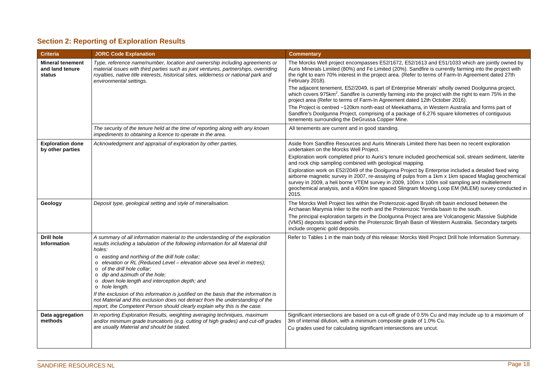## **Section 2: Reporting of Exploration Results**

| <b>Criteria</b>                                      | <b>JORC Code Explanation</b>                                                                                                                                                                                                                                                                                                                                                                                                                                                                                                                                                                                                                                                                                      | <b>Commentary</b>                                                                                                                                                                                                                                                                                                                                                                                                                                                                                                                                                                                                                                                                                                                                                                                                                                                                                   |
|------------------------------------------------------|-------------------------------------------------------------------------------------------------------------------------------------------------------------------------------------------------------------------------------------------------------------------------------------------------------------------------------------------------------------------------------------------------------------------------------------------------------------------------------------------------------------------------------------------------------------------------------------------------------------------------------------------------------------------------------------------------------------------|-----------------------------------------------------------------------------------------------------------------------------------------------------------------------------------------------------------------------------------------------------------------------------------------------------------------------------------------------------------------------------------------------------------------------------------------------------------------------------------------------------------------------------------------------------------------------------------------------------------------------------------------------------------------------------------------------------------------------------------------------------------------------------------------------------------------------------------------------------------------------------------------------------|
| <b>Mineral tenement</b><br>and land tenure<br>status | Type, reference name/number, location and ownership including agreements or<br>material issues with third parties such as joint ventures, partnerships, overriding<br>royalties, native title interests, historical sites, wilderness or national park and<br>environmental settings.                                                                                                                                                                                                                                                                                                                                                                                                                             | The Morcks Well project encompasses E52/1672, E52/1613 and E51/1033 which are jointly owned by<br>Auris Minerals Limited (80%) and Fe Limited (20%). Sandfire is currently farming into the project with<br>the right to earn 70% interest in the project area. (Refer to terms of Farm-In Agreement dated 27th<br>February 2018).<br>The adjacent tenement, E52/2049, is part of Enterprise Minerals' wholly owned Doolgunna project,<br>which covers 975km <sup>2</sup> . Sandfire is currently farming into the project with the right to earn 75% in the<br>project area (Refer to terms of Farm-In Agreement dated 12th October 2016).<br>The Project is centred ~120km north-east of Meekatharra, in Western Australia and forms part of<br>Sandfire's Doolgunna Project, comprising of a package of 6,276 square kilometres of contiguous<br>tenements surrounding the DeGrussa Copper Mine. |
|                                                      | The security of the tenure held at the time of reporting along with any known<br>impediments to obtaining a licence to operate in the area.                                                                                                                                                                                                                                                                                                                                                                                                                                                                                                                                                                       | All tenements are current and in good standing.                                                                                                                                                                                                                                                                                                                                                                                                                                                                                                                                                                                                                                                                                                                                                                                                                                                     |
| <b>Exploration done</b><br>by other parties          | Acknowledgment and appraisal of exploration by other parties.                                                                                                                                                                                                                                                                                                                                                                                                                                                                                                                                                                                                                                                     | Aside from Sandfire Resources and Auris Minerals Limited there has been no recent exploration<br>undertaken on the Morcks Well Project.<br>Exploration work completed prior to Auris's tenure included geochemical soil, stream sediment, laterite<br>and rock chip sampling combined with geological mapping.<br>Exploration work on E52/2049 of the Doolgunna Project by Enterprise included a detailed fixed wing<br>airborne magnetic survey in 2007, re-assaying of pulps from a 1km x 1km spaced Maglag geochemical<br>survey in 2009, a heli borne VTEM survey in 2009, 100m x 100m soil sampling and multielement<br>geochemical analysis, and a 400m line spaced Slingram Moving Loop EM (MLEM) survey conducted in<br>2015.                                                                                                                                                               |
| Geology                                              | Deposit type, geological setting and style of mineralisation.                                                                                                                                                                                                                                                                                                                                                                                                                                                                                                                                                                                                                                                     | The Morcks Well Project lies within the Proterozoic-aged Bryah rift basin enclosed between the<br>Archaean Marymia Inlier to the north and the Proterozoic Yerrida basin to the south.<br>The principal exploration targets in the Doolgunna Project area are Volcanogenic Massive Sulphide<br>(VMS) deposits located within the Proterozoic Bryah Basin of Western Australia. Secondary targets<br>include orogenic gold deposits.                                                                                                                                                                                                                                                                                                                                                                                                                                                                 |
| <b>Drill hole</b><br>Information                     | A summary of all information material to the understanding of the exploration<br>results including a tabulation of the following information for all Material drill<br>holes:<br>o easting and northing of the drill hole collar;<br>o elevation or RL (Reduced Level – elevation above sea level in metres);<br>o of the drill hole collar;<br>$\circ$ dip and azimuth of the hole:<br>o down hole length and interception depth; and<br>o hole length.<br>If the exclusion of this information is justified on the basis that the information is<br>not Material and this exclusion does not detract from the understanding of the<br>report, the Competent Person should clearly explain why this is the case. | Refer to Tables 1 in the main body of this release: Morcks Well Project Drill hole Information Summary.                                                                                                                                                                                                                                                                                                                                                                                                                                                                                                                                                                                                                                                                                                                                                                                             |
| Data aggregation<br>methods                          | In reporting Exploration Results, weighting averaging techniques, maximum<br>and/or minimum grade truncations (e.g. cutting of high grades) and cut-off grades<br>are usually Material and should be stated.                                                                                                                                                                                                                                                                                                                                                                                                                                                                                                      | Significant intersections are based on a cut-off grade of 0.5% Cu and may include up to a maximum of<br>3m of internal dilution, with a minimum composite grade of 1.0% Cu.<br>Cu grades used for calculating significant intersections are uncut.                                                                                                                                                                                                                                                                                                                                                                                                                                                                                                                                                                                                                                                  |